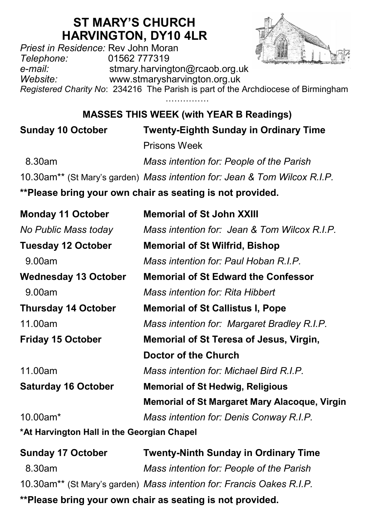# **ST MARY'S CHURCH HARVINGTON, DY10 4LR**

*Priest in Residence:* Rev John Moran *Telephone:* 01562 777319 *e-mail:* stmary.harvington@rcaob.org.uk *Website:* www.stmarysharvington.org.uk

*Registered Charity No*: 234216 The Parish is part of the Archdiocese of Birmingham ……………

**MASSES THIS WEEK (with YEAR B Readings)** 

**Sunday 10 October Twenty-Eighth Sunday in Ordinary Time** Prisons Week 8.30am *Mass intention for: People of the Parish* 10.30am\*\* (St Mary's garden) *Mass intention for: Jean & Tom Wilcox R.I.P.*

**\*\*Please bring your own chair as seating is not provided.**

| <b>Monday 11 October</b>                   | <b>Memorial of St John XXIII</b>                     |  |
|--------------------------------------------|------------------------------------------------------|--|
| No Public Mass today                       | Mass intention for: Jean & Tom Wilcox R.I.P.         |  |
| <b>Tuesday 12 October</b>                  | <b>Memorial of St Wilfrid, Bishop</b>                |  |
| 9.00am                                     | Mass intention for: Paul Hoban R.I.P.                |  |
| <b>Wednesday 13 October</b>                | <b>Memorial of St Edward the Confessor</b>           |  |
| 9.00am                                     | Mass intention for: Rita Hibbert                     |  |
| <b>Thursday 14 October</b>                 | <b>Memorial of St Callistus I, Pope</b>              |  |
| 11.00am                                    | Mass intention for: Margaret Bradley R.I.P.          |  |
| <b>Friday 15 October</b>                   | Memorial of St Teresa of Jesus, Virgin,              |  |
|                                            | Doctor of the Church                                 |  |
| 11.00am                                    | Mass intention for: Michael Bird R.I.P.              |  |
| <b>Saturday 16 October</b>                 | <b>Memorial of St Hedwig, Religious</b>              |  |
|                                            | <b>Memorial of St Margaret Mary Alacoque, Virgin</b> |  |
| $10.00$ am $*$                             | Mass intention for: Denis Conway R.I.P.              |  |
| *At Harvington Hall in the Georgian Chapel |                                                      |  |

| <b>Sunday 17 October</b>                                  | <b>Twenty-Ninth Sunday in Ordinary Time</b>                                       |
|-----------------------------------------------------------|-----------------------------------------------------------------------------------|
| 8.30am                                                    | Mass intention for: People of the Parish                                          |
|                                                           | 10.30am <sup>**</sup> (St Mary's garden) Mass intention for: Francis Oakes R.I.P. |
| **Please bring your own chair as seating is not provided. |                                                                                   |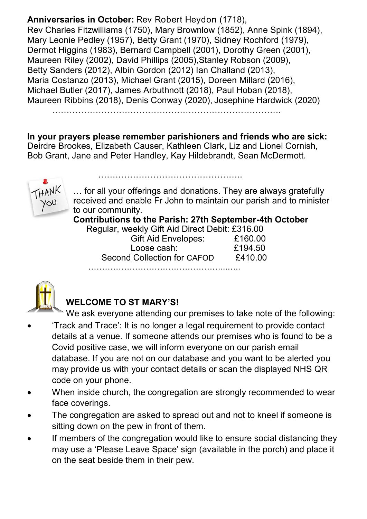**Anniversaries in October:** Rev Robert Heydon (1718), Rev Charles Fitzwilliams (1750), Mary Brownlow (1852), Anne Spink (1894), Mary Leonie Pedley (1957), Betty Grant (1970), Sidney Rochford (1979), Dermot Higgins (1983), Bernard Campbell (2001), Dorothy Green (2001), Maureen Riley (2002), David Phillips (2005), Stanley Robson (2009), Betty Sanders (2012), Albin Gordon (2012) Ian Challand (2013), Maria Costanzo (2013), Michael Grant (2015), Doreen Millard (2016), Michael Butler (2017), James Arbuthnott (2018), Paul Hoban (2018), Maureen Ribbins (2018), Denis Conway (2020), Josephine Hardwick (2020)

**In your prayers please remember parishioners and friends who are sick:**  Deirdre Brookes, Elizabeth Causer, Kathleen Clark, Liz and Lionel Cornish, Bob Grant, Jane and Peter Handley, Kay Hildebrandt, Sean McDermott.

…………………………………………..



… for all your offerings and donations. They are always gratefully received and enable Fr John to maintain our parish and to minister to our community.

**Contributions to the Parish: 27th September-4th October**

Regular, weekly Gift Aid Direct Debit: £316.00

| Gift Aid Envelopes:         | £160.00 |
|-----------------------------|---------|
| Loose cash:                 | £194.50 |
| Second Collection for CAFOD | £410.00 |
|                             |         |



### **WELCOME TO ST MARY'S!**

We ask everyone attending our premises to take note of the following:

- 'Track and Trace': It is no longer a legal requirement to provide contact details at a venue. If someone attends our premises who is found to be a Covid positive case, we will inform everyone on our parish email database. If you are not on our database and you want to be alerted you may provide us with your contact details or scan the displayed NHS QR code on your phone.
- When inside church, the congregation are strongly recommended to wear face coverings.
- The congregation are asked to spread out and not to kneel if someone is sitting down on the pew in front of them.
- If members of the congregation would like to ensure social distancing they may use a 'Please Leave Space' sign (available in the porch) and place it on the seat beside them in their pew.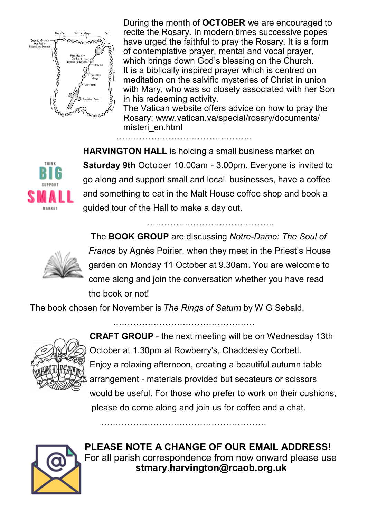

During the month of **OCTOBER** we are encouraged to recite the Rosary. In modern times successive popes have urged the faithful to pray the Rosary. It is a form of contemplative prayer, mental and vocal prayer, which brings down God's blessing on the Church. It is a biblically inspired prayer which is centred on meditation on the salvific mysteries of Christ in union with Mary, who was so closely associated with her Son in his redeeming activity.

The Vatican website offers advice on how to pray the Rosary: www.vatican.va/special/rosary/documents/ misteri\_en.html

………………………………………..



**HARVINGTON HALL** is holding a small business market on **Saturday 9th** October 10.00am - 3.00pm. Everyone is invited to go along and support small and local businesses, have a coffee and something to eat in the Malt House coffee shop and book a guided tour of the Hall to make a day out.

……………………………………..



The **BOOK GROUP** are discussing *Notre-Dame: The Soul of France* by Agnès Poirier, when they meet in the Priest's House garden on Monday 11 October at 9.30am. You are welcome to come along and join the conversation whether you have read the book or not!

The book chosen for November is *The Rings of Saturn* by W G Sebald.

………………………………………….

…………………………………………………



**CRAFT GROUP** - the next meeting will be on Wednesday 13th October at 1.30pm at Rowberry's, Chaddesley Corbett. Enjoy a relaxing afternoon, creating a beautiful autumn table arrangement - materials provided but secateurs or scissors would be useful. For those who prefer to work on their cushions, please do come along and join us for coffee and a chat.



**PLEASE NOTE A CHANGE OF OUR EMAIL ADDRESS!** For all parish correspondence from now onward please use **stmary.harvington@rcaob.org.uk**